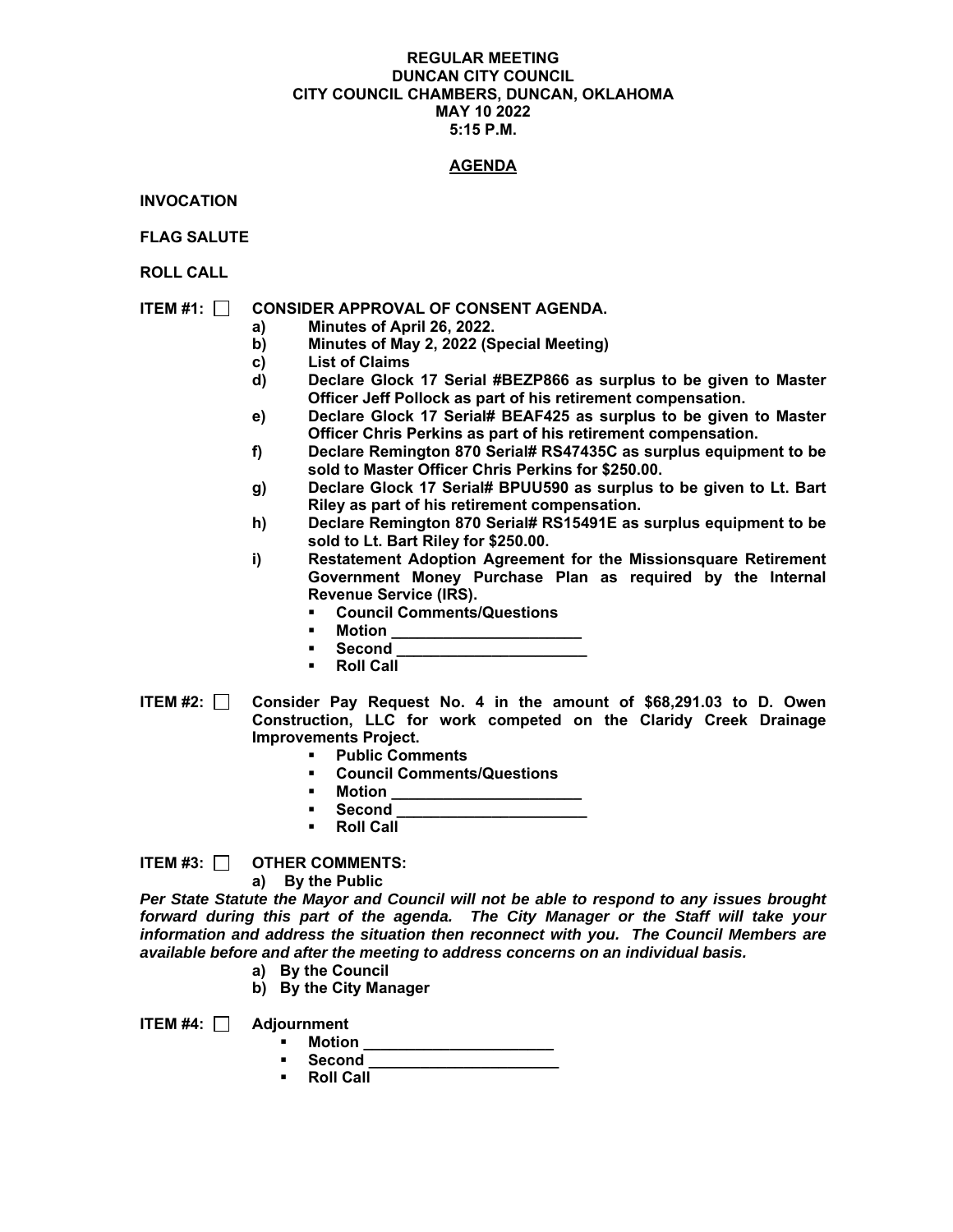#### **REGULAR MEETING DUNCAN CITY COUNCIL CITY COUNCIL CHAMBERS, DUNCAN, OKLAHOMA MAY 10 2022 5:15 P.M.**

# **AGENDA**

**INVOCATION** 

**FLAG SALUTE** 

**ROLL CALL** 

**ITEM #1: CONSIDER APPROVAL OF CONSENT AGENDA.** 

- **a) Minutes of April 26, 2022.**
- **b) Minutes of May 2, 2022 (Special Meeting)**
- **c) List of Claims**
- **d) Declare Glock 17 Serial #BEZP866 as surplus to be given to Master Officer Jeff Pollock as part of his retirement compensation.**
- **e) Declare Glock 17 Serial# BEAF425 as surplus to be given to Master Officer Chris Perkins as part of his retirement compensation.**
- **f) Declare Remington 870 Serial# RS47435C as surplus equipment to be sold to Master Officer Chris Perkins for \$250.00.**
- **g) Declare Glock 17 Serial# BPUU590 as surplus to be given to Lt. Bart Riley as part of his retirement compensation.**
- **h) Declare Remington 870 Serial# RS15491E as surplus equipment to be sold to Lt. Bart Riley for \$250.00.**
- **i) Restatement Adoption Agreement for the Missionsquare Retirement Government Money Purchase Plan as required by the Internal Revenue Service (IRS).** 
	- **Council Comments/Questions**
	- **Motion \_\_\_\_\_\_\_\_\_\_\_\_\_\_\_\_\_\_\_\_\_\_**
	- Second<sup>1</sup>
	- **Roll Call**
- **ITEM #2: Consider Pay Request No. 4 in the amount of \$68,291.03 to D. Owen Construction, LLC for work competed on the Claridy Creek Drainage Improvements Project.** 
	- **Public Comments**<br>**<b>Public Comment**
	- **Council Comments/Questions**
	- **Motion**
	- **Second \_\_\_\_\_\_\_\_\_\_\_\_\_\_\_\_\_\_\_\_\_\_**
	- **Roll Call**

**ITEM #3: OTHER COMMENTS:** 

**a) By the Public** 

*Per State Statute the Mayor and Council will not be able to respond to any issues brought forward during this part of the agenda. The City Manager or the Staff will take your information and address the situation then reconnect with you. The Council Members are available before and after the meeting to address concerns on an individual basis.* 

- **a) By the Council**
- **b) By the City Manager**

**ITEM #4: Adjournment** 

- **-** Motion
	- Second  $\overline{\phantom{a}}$
- **Roll Call**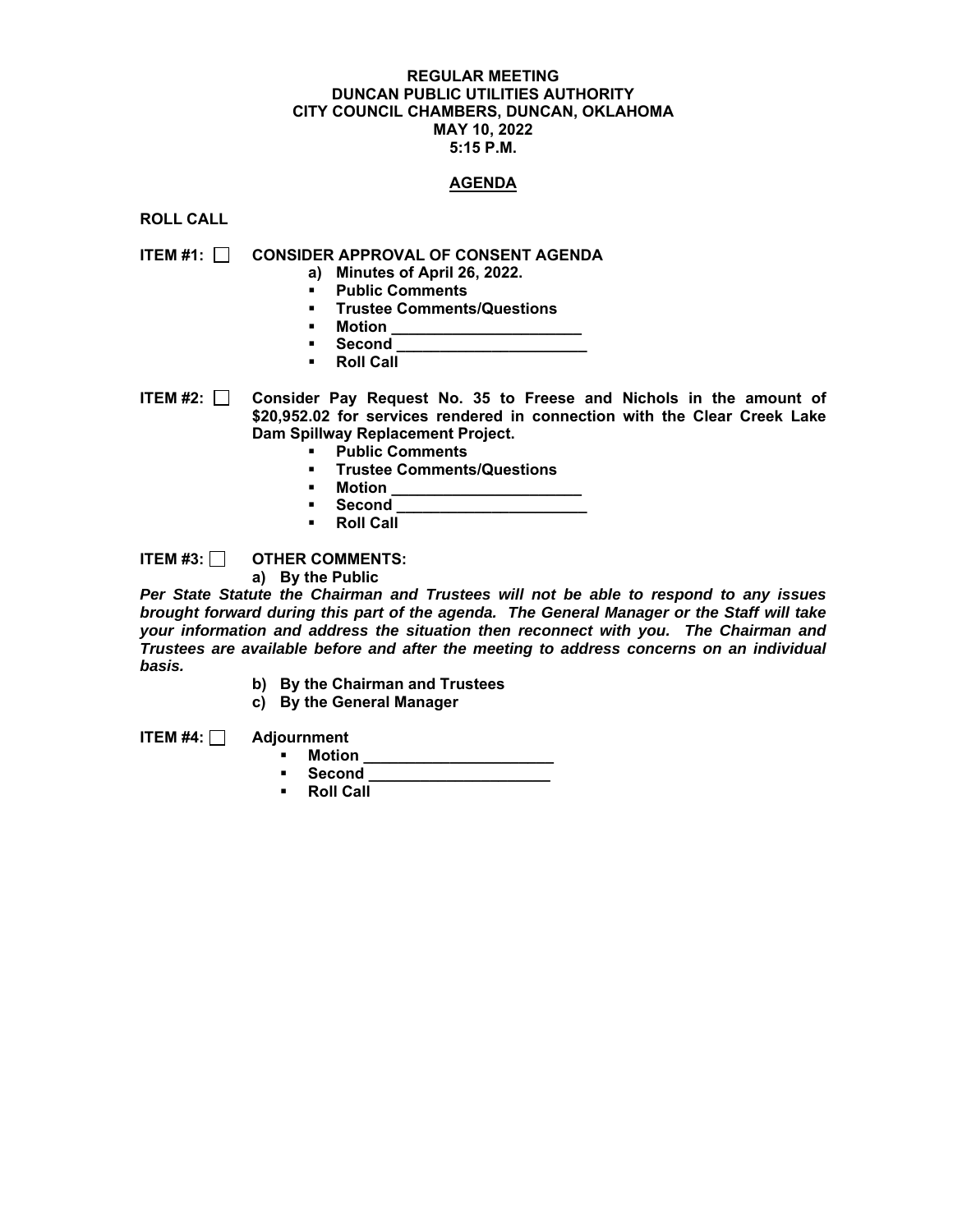#### **REGULAR MEETING DUNCAN PUBLIC UTILITIES AUTHORITY CITY COUNCIL CHAMBERS, DUNCAN, OKLAHOMA MAY 10, 2022 5:15 P.M.**

## **AGENDA**

**ROLL CALL** 

**ITEM #1: CONSIDER APPROVAL OF CONSENT AGENDA** 

- **a) Minutes of April 26, 2022.**
- **Public Comments**
- **Trustee Comments/Questions**
- **Motion \_\_\_\_\_\_\_\_\_\_\_\_\_\_\_\_\_\_\_\_\_\_**
- **Second**<br>**Roll Call**
- **Roll Call**

**ITEM #2: Consider Pay Request No. 35 to Freese and Nichols in the amount of \$20,952.02 for services rendered in connection with the Clear Creek Lake Dam Spillway Replacement Project.** 

- **Public Comments**
- **Trustee Comments/Questions**
- **Motion**
- **Second \_\_\_\_\_\_\_\_\_\_\_\_\_\_\_\_\_\_\_\_\_\_**
- **Roll Call**

**ITEM #3: OTHER COMMENTS:** 

**a) By the Public** 

*Per State Statute the Chairman and Trustees will not be able to respond to any issues brought forward during this part of the agenda. The General Manager or the Staff will take your information and address the situation then reconnect with you. The Chairman and Trustees are available before and after the meeting to address concerns on an individual basis.* 

- **b) By the Chairman and Trustees**
- **c) By the General Manager**

**ITEM #4: □** Adjournment

- 
- **Motion Second \_\_\_\_\_\_\_\_\_\_\_\_\_\_\_\_\_\_\_\_\_**
- **Roll Call**